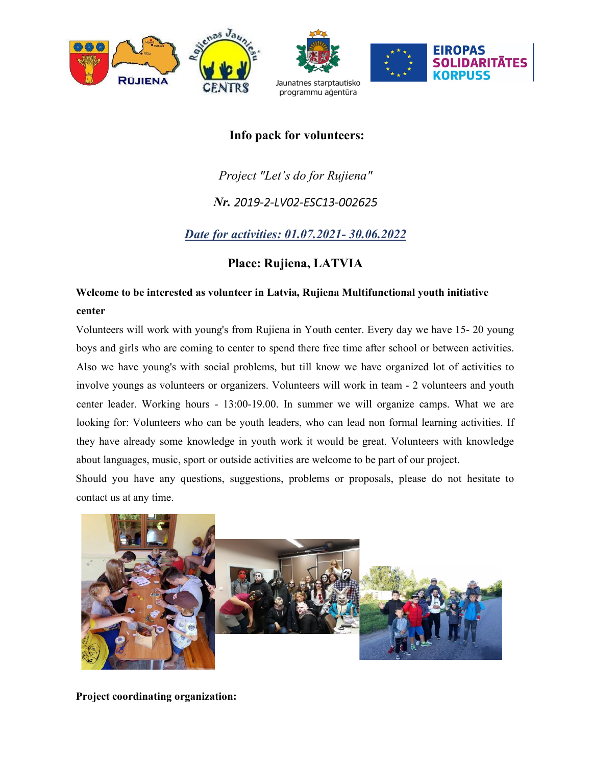

# Info pack for volunteers:

# Project "Let's do for Rujiena"

## Nr. 2019-2-LV02-ESC13-002625

# Date for activities: 01.07.2021- 30.06.2022

## Place: Rujiena, LATVIA

# Welcome to be interested as volunteer in Latvia, Rujiena Multifunctional youth initiative center

Volunteers will work with young's from Rujiena in Youth center. Every day we have 15- 20 young boys and girls who are coming to center to spend there free time after school or between activities. Also we have young's with social problems, but till know we have organized lot of activities to involve youngs as volunteers or organizers. Volunteers will work in team - 2 volunteers and youth center leader. Working hours - 13:00-19.00. In summer we will organize camps. What we are looking for: Volunteers who can be youth leaders, who can lead non formal learning activities. If they have already some knowledge in youth work it would be great. Volunteers with knowledge about languages, music, sport or outside activities are welcome to be part of our project.

Should you have any questions, suggestions, problems or proposals, please do not hesitate to contact us at any time.



Project coordinating organization: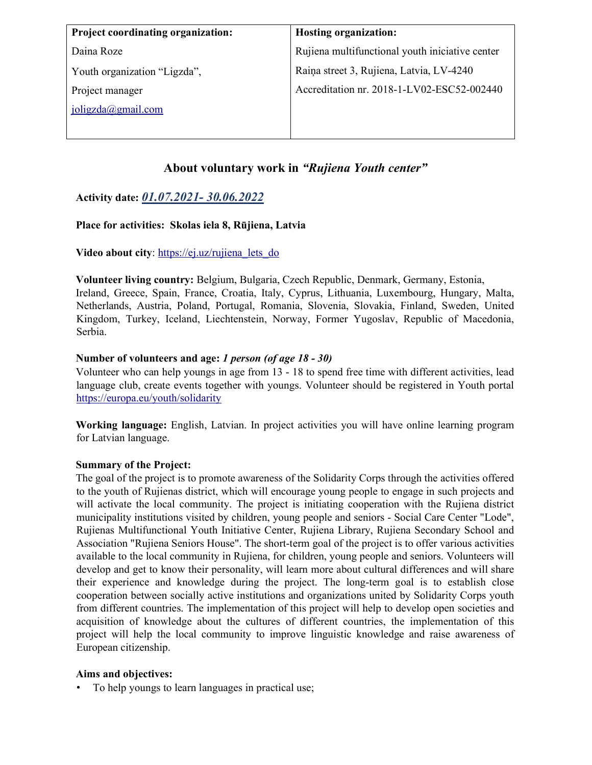| <b>Project coordinating organization:</b> | <b>Hosting organization:</b>                    |
|-------------------------------------------|-------------------------------------------------|
| Daina Roze                                | Rujiena multifunctional youth iniciative center |
| Youth organization "Ligzda",              | Raiņa street 3, Rujiena, Latvia, LV-4240        |
| Project manager                           | Accreditation nr. 2018-1-LV02-ESC52-002440      |
| $j$ oligzda $(a)$ gmail.com               |                                                 |
|                                           |                                                 |

### About voluntary work in "Rujiena Youth center"

### Activity date: 01.07.2021- 30.06.2022

#### Place for activities: Skolas iela 8, Rūjiena, Latvia

#### Video about city: https://ej.uz/rujiena\_lets\_do

Volunteer living country: Belgium, Bulgaria, Czech Republic, Denmark, Germany, Estonia, Ireland, Greece, Spain, France, Croatia, Italy, Cyprus, Lithuania, Luxembourg, Hungary, Malta, Netherlands, Austria, Poland, Portugal, Romania, Slovenia, Slovakia, Finland, Sweden, United Kingdom, Turkey, Iceland, Liechtenstein, Norway, Former Yugoslav, Republic of Macedonia, Serbia.

#### Number of volunteers and age: 1 person (of age 18 - 30)

Volunteer who can help youngs in age from 13 - 18 to spend free time with different activities, lead language club, create events together with youngs. Volunteer should be registered in Youth portal https://europa.eu/youth/solidarity

Working language: English, Latvian. In project activities you will have online learning program for Latvian language.

#### Summary of the Project:

The goal of the project is to promote awareness of the Solidarity Corps through the activities offered to the youth of Rujienas district, which will encourage young people to engage in such projects and will activate the local community. The project is initiating cooperation with the Rujiena district municipality institutions visited by children, young people and seniors - Social Care Center "Lode", Rujienas Multifunctional Youth Initiative Center, Rujiena Library, Rujiena Secondary School and Association "Rujiena Seniors House". The short-term goal of the project is to offer various activities available to the local community in Rujiena, for children, young people and seniors. Volunteers will develop and get to know their personality, will learn more about cultural differences and will share their experience and knowledge during the project. The long-term goal is to establish close cooperation between socially active institutions and organizations united by Solidarity Corps youth from different countries. The implementation of this project will help to develop open societies and acquisition of knowledge about the cultures of different countries, the implementation of this project will help the local community to improve linguistic knowledge and raise awareness of European citizenship.

#### Aims and objectives:

• To help youngs to learn languages in practical use;